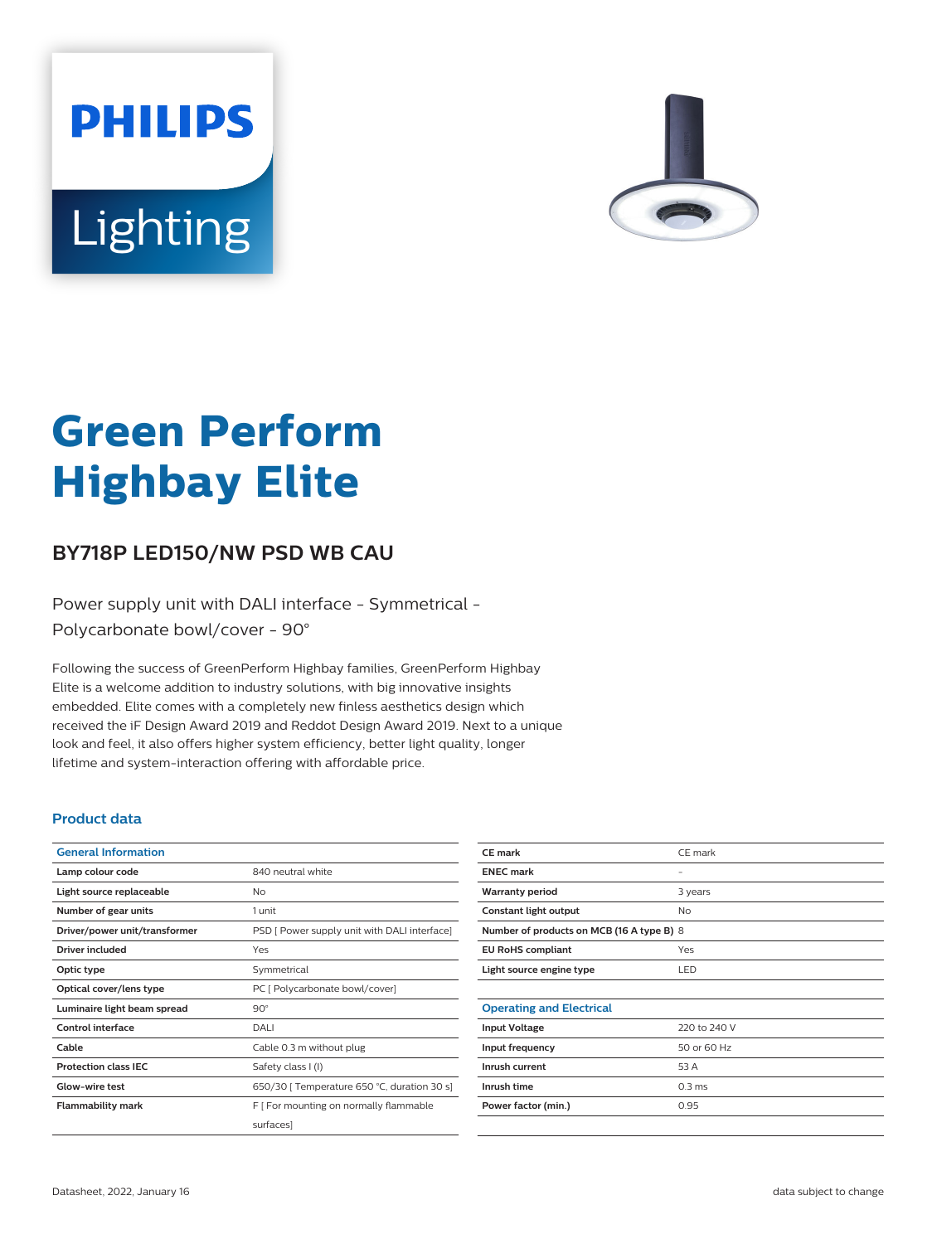



# **Green Perform Highbay Elite**

## **BY718P LED150/NW PSD WB CAU**

Power supply unit with DALI interface - Symmetrical - Polycarbonate bowl/cover - 90°

Following the success of GreenPerform Highbay families, GreenPerform Highbay Elite is a welcome addition to industry solutions, with big innovative insights embedded. Elite comes with a completely new finless aesthetics design which received the iF Design Award 2019 and Reddot Design Award 2019. Next to a unique look and feel, it also offers higher system efficiency, better light quality, longer lifetime and system-interaction offering with affordable price.

#### **Product data**

| <b>General Information</b>    |                                              |
|-------------------------------|----------------------------------------------|
| Lamp colour code              | 840 neutral white                            |
| Light source replaceable      | No                                           |
| Number of gear units          | 1 unit                                       |
| Driver/power unit/transformer | PSD [ Power supply unit with DALI interface] |
| Driver included               | Yes                                          |
| Optic type                    | Symmetrical                                  |
| Optical cover/lens type       | PC [ Polycarbonate bowl/cover]               |
| Luminaire light beam spread   | $90^\circ$                                   |
| Control interface             | DALI                                         |
| Cable                         | Cable 0.3 m without plug                     |
| <b>Protection class IEC</b>   | Safety class I (I)                           |
| Glow-wire test                | 650/30   Temperature 650 °C, duration 30 s]  |
| <b>Flammability mark</b>      | F   For mounting on normally flammable       |
|                               | surfaces]                                    |
|                               |                                              |

| CE mark                                   | CE mark           |  |
|-------------------------------------------|-------------------|--|
| <b>ENEC mark</b>                          | -                 |  |
| <b>Warranty period</b>                    | 3 years           |  |
| Constant light output                     | No                |  |
| Number of products on MCB (16 A type B) 8 |                   |  |
| <b>EU RoHS compliant</b>                  | Yes               |  |
| Light source engine type                  | LED               |  |
|                                           |                   |  |
| <b>Operating and Electrical</b>           |                   |  |
| <b>Input Voltage</b>                      | 220 to 240 V      |  |
| Input frequency                           | 50 or 60 Hz       |  |
| Inrush current                            | 53 A              |  |
| Inrush time                               | 0.3 <sub>ms</sub> |  |
| Power factor (min.)                       | 0.95              |  |
|                                           |                   |  |